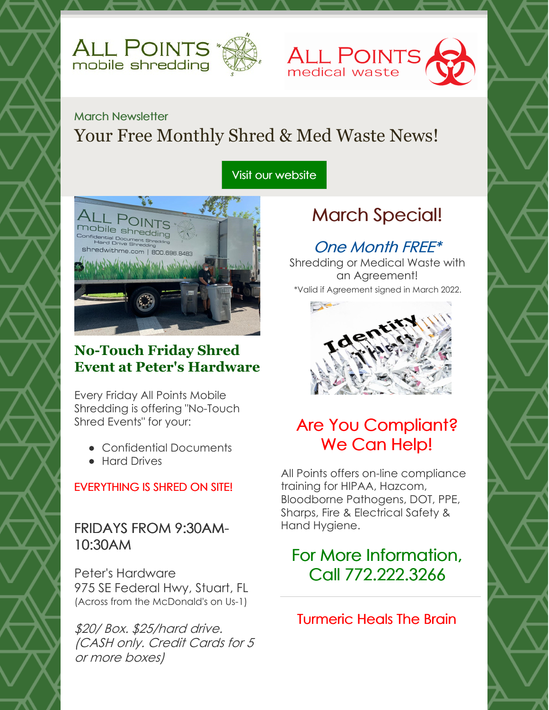



### March Newsletter Your Free Monthly Shred & Med Waste News!

#### Visit our [website](http://www.allpointsprotects.com)



#### **No-Touch Friday Shred Event at Peter's Hardware**

Every Friday All Points Mobile Shredding is offering "No-Touch Shred Events" for your:

- Confidential Documents
- **Hard Drives**

#### EVERYTHING IS SHRED ON SITE!

#### FRIDAYS FROM 9:30AM-10:30AM

Peter's Hardware 975 SE Federal Hwy, Stuart, FL (Across from the McDonald's on Us-1)

\$20/ Box. \$25/hard drive. (CASH only. Credit Cards for 5 or more boxes)

# March Special!

### One Month FREE\*

Shredding or Medical Waste with an Agreement! \*Valid if Agreement signed in March 2022.



# Are You Compliant? We Can Help!

All Points offers on-line compliance training for HIPAA, Hazcom, Bloodborne Pathogens, DOT, PPE, Sharps, Fire & Electrical Safety & Hand Hygiene.

# For More Information, Call 772.222.3266

Turmeric Heals The Brain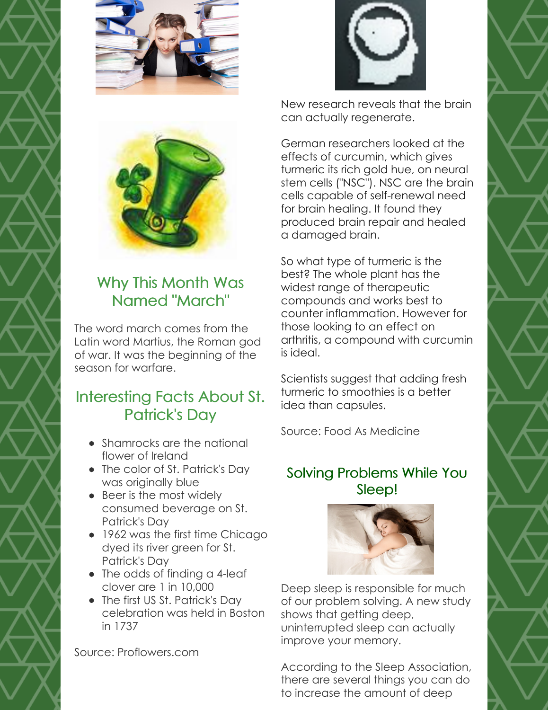





New research reveals that the brain can actually regenerate.

German researchers looked at the effects of curcumin, which gives turmeric its rich gold hue, on neural stem cells ("NSC"). NSC are the brain cells capable of self-renewal need for brain healing. It found they produced brain repair and healed a damaged brain.

So what type of turmeric is the best? The whole plant has the widest range of therapeutic compounds and works best to counter inflammation. However for those looking to an effect on arthritis, a compound with curcumin is ideal.

Scientists suggest that adding fresh turmeric to smoothies is a better idea than capsules.

Source: Food As Medicine

#### Solving Problems While You Sleep!



Deep sleep is responsible for much of our problem solving. A new study shows that getting deep, uninterrupted sleep can actually improve your memory.

According to the Sleep Association, there are several things you can do to increase the amount of deep



# Why This Month Was Named "March"

The word march comes from the Latin word Martius, the Roman god of war. It was the beginning of the season for warfare.

### Interesting Facts About St. Patrick's Day

- Shamrocks are the national flower of Ireland
- The color of St. Patrick's Day was originally blue
- Beer is the most widely consumed beverage on St. Patrick's Day
- 1962 was the first time Chicago dyed its river green for St. Patrick's Day
- The odds of finding a 4-leaf clover are 1 in 10,000
- The first US St. Patrick's Day celebration was held in Boston in 1737

Source: Proflowers.com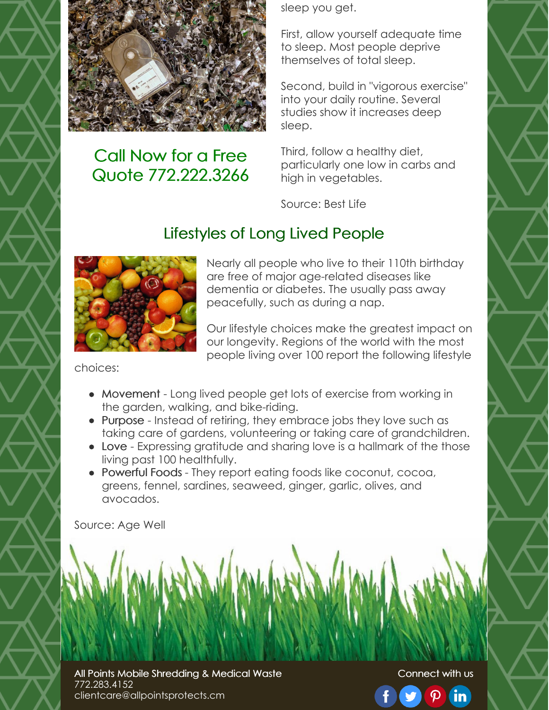

### Call Now for a Free Quote 772.222.3266

sleep you get.

First, allow yourself adequate time to sleep. Most people deprive themselves of total sleep.

Second, build in "vigorous exercise" into your daily routine. Several studies show it increases deep sleep.

Third, follow a healthy diet, particularly one low in carbs and high in vegetables.

Source: Best Life

### Lifestyles of Long Lived People



Nearly all people who live to their 110th birthday are free of major age-related diseases like dementia or diabetes. The usually pass away peacefully, such as during a nap.

Our lifestyle choices make the greatest impact on our longevity. Regions of the world with the most people living over 100 report the following lifestyle

choices:

- Movement Long lived people get lots of exercise from working in the garden, walking, and bike-riding.
- Purpose Instead of retiring, they embrace jobs they love such as taking care of gardens, volunteering or taking care of grandchildren.
- Love Expressing gratitude and sharing love is a hallmark of the those living past 100 healthfully.
- Powerful Foods They report eating foods like coconut, cocoa, greens, fennel, sardines, seaweed, ginger, garlic, olives, and avocados.

Source: Age Well

All Points Mobile Shredding & Medical Waste 772.283.4152 clientcare@allpointsprotects.cm

Connect with us

 $\boldsymbol{\varphi}$ 

 $\mathbf{in}$